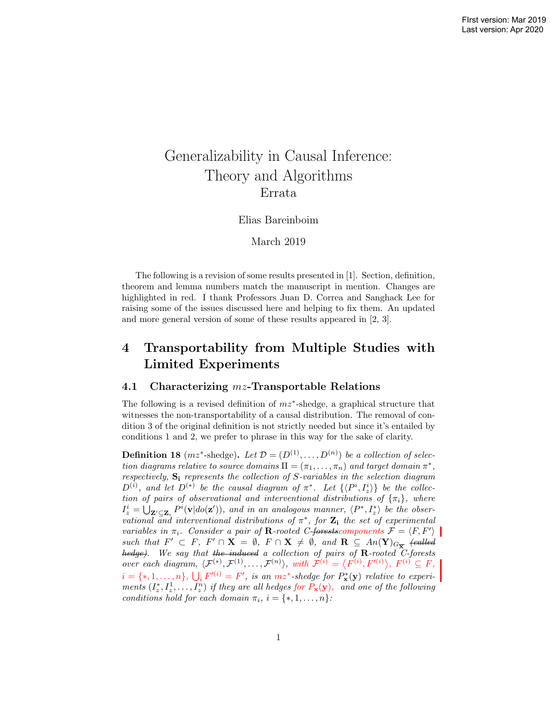# Generalizability in Causal Inference: Theory and Algorithms Errata

### Elias Bareinboim

## March 2019

The following is a revision of some results presented in [1]. Section, definition, theorem and lemma numbers match the manuscript in mention. Changes are highlighted in red. I thank Professors Juan D. Correa and Sanghack Lee for raising some of the issues discussed here and helping to fix them. An updated and more general version of some of these results appeared in [2, 3].

## 4 Transportability from Multiple Studies with Limited Experiments

## 4.1 Characterizing  $mz$ -Transportable Relations

The following is a revised definition of  $mz^*$ -shedge, a graphical structure that witnesses the non-transportability of a causal distribution. The removal of condition 3 of the original definition is not strictly needed but since it's entailed by conditions 1 and 2, we prefer to phrase in this way for the sake of clarity.

**Definition 18** ( $mz^*$ -shedge). Let  $\mathcal{D} = (D^{(1)}, \ldots, D^{(n)})$  be a collection of selection diagrams relative to source domains  $\Pi = (\pi_1, \dots, \pi_n)$  and target domain  $\pi^*$ , respectively,  $S_i$  represents the collection of S-variables in the selection diagram  $D^{(i)}$ , and let  $D^{(*)}$  be the causal diagram of  $\pi^*$ . Let  $\{\langle P^i, I_z^i \rangle\}$  be the collection of pairs of observational and interventional distributions of  $\{\pi_i\}$ , where  $I_z^i = \bigcup_{\mathbf{Z}' \subseteq \mathbf{Z}_i} P^i(\mathbf{v} | do(\mathbf{z}'))$ , and in an analogous manner,  $\langle P^*, I_z^* \rangle$  be the observational  $\overline{\text{and}}$  interventional distributions of  $\pi^*$ , for  $\mathbf{Z}_i$  the set of experimental variables in  $\pi_i$ . Consider a pair of **R**-rooted C-forests components  $\mathcal{F} = \langle F, F' \rangle$ such that  $F' \subset F$ ,  $F' \cap X = \emptyset$ ,  $F \cap X \neq \emptyset$ , and  $R \subseteq An(Y)_{G_{\overline{X}}}$  (called hedge). We say that the induced a collection of pairs of R-rooted C-forests over each diagram,  $\langle \mathcal{F}^{(*)}, \mathcal{F}^{(1)}, \ldots, \mathcal{F}^{(n)} \rangle$ , with  $\mathcal{F}^{(i)} = \langle F^{(i)}, F'^{(i)} \rangle$ ,  $F^{(i)} \subseteq F$ ,  $i = \{*, 1, \ldots, n\}, \bigcup_i F^{(i)} = F'$ , is an  $mz^*$ -shedge for  $P^*_{\mathbf{x}}(\mathbf{y})$  relative to experiments  $(I_z^*, I_z^1, \ldots, I_z^n)$  if they are all hedges for  $P_x(y)$ , and one of the following conditions hold for each domain  $\pi_i$ ,  $i = \{*, 1, \ldots, n\}$ :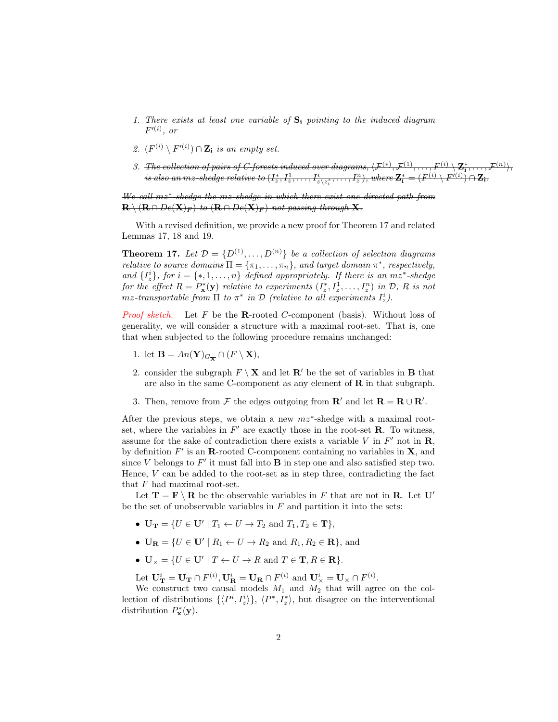- 1. There exists at least one variable of  $S_i$  pointing to the induced diagram  $F^{\prime\left( i\right) },$  or
- 2.  $(F^{(i)} \setminus F'^{(i)}) \cap \mathbf{Z_i}$  is an empty set.
- 3. The collection of pairs of C-forests induced over diagrams,  $\langle \mathcal{F}^{(*)}, \mathcal{F}^{(1)}, \ldots, \mathcal{F}^{(i)} \setminus \mathbf{Z}_1^*, \ldots, \mathcal{F}^{(n)} \rangle$ , is also an mz-shedge relative to  $(I_z^*,I_z^1,\ldots,I_{z\setminus z_i^*}^i,\ldots,I_z^n),$  where  $\mathbf{Z_i^*}=(F^{(i)}\setminus F'^{(i)})\cap \mathbf{Z_i}.$

We call mz<sup>∗</sup> -shedge the mz-shedge in which there exist one directed path from  $\mathbf{R} \setminus (\mathbf{R} \cap De(\mathbf{X})_F)$  to  $(\mathbf{R} \cap De(\mathbf{X})_F)$  not passing through X.

With a revised definition, we provide a new proof for Theorem 17 and related Lemmas 17, 18 and 19.

**Theorem 17.** Let  $\mathcal{D} = \{D^{(1)}, \ldots, D^{(n)}\}$  be a collection of selection diagrams *relative to source domains*  $\Pi = {\pi_1, ..., \pi_n}$ , and target domain  $\pi^*$ , respectively, and  $\{I_z^i\}$ , for  $i = \{*, 1, \ldots, n\}$  defined appropriately. If there is an  $mz^*$ -shedge for the effect  $R = P_{\mathbf{x}}^*(\mathbf{y})$  relative to experiments  $(I_z^*, I_z^1, \ldots, I_z^n)$  in  $\mathcal{D}, R$  is not mz-transportable from  $\Pi$  to  $\pi^*$  in  $\mathcal D$  (relative to all experiments  $I_z^i$ ).

*Proof sketch.* Let F be the **R**-rooted C-component (basis). Without loss of generality, we will consider a structure with a maximal root-set. That is, one that when subjected to the following procedure remains unchanged:

- 1. let  $\mathbf{B} = An(\mathbf{Y})_{G_{\overline{\mathbf{X}}}} \cap (F \setminus \mathbf{X}),$
- 2. consider the subgraph  $F \setminus \mathbf{X}$  and let  $\mathbf{R}'$  be the set of variables in **B** that are also in the same C-component as any element of  **in that subgraph.**
- 3. Then, remove from  $\mathcal F$  the edges outgoing from  $\mathbf R'$  and let  $\mathbf R = \mathbf R \cup \mathbf R'$ .

After the previous steps, we obtain a new  $mz^*$ -shedge with a maximal rootset, where the variables in  $F'$  are exactly those in the root-set  $\bf R$ . To witness, assume for the sake of contradiction there exists a variable  $V$  in  $F'$  not in  $\mathbf{R}$ , by definition  $F'$  is an **R**-rooted C-component containing no variables in **X**, and since  $V$  belongs to  $F'$  it must fall into  $B$  in step one and also satisfied step two. Hence,  $V$  can be added to the root-set as in step three, contradicting the fact that F had maximal root-set.

Let  $\mathbf{T} = \mathbf{F} \setminus \mathbf{R}$  be the observable variables in F that are not in **R**. Let U' be the set of unobservable variables in  $F$  and partition it into the sets:

- $\mathbf{U_T} = \{U \in \mathbf{U'} \mid T_1 \leftarrow U \rightarrow T_2 \text{ and } T_1, T_2 \in \mathbf{T}\},\$
- $\mathbf{U}_{\mathbf{R}} = \{ U \in \mathbf{U}' \mid R_1 \leftarrow U \rightarrow R_2 \text{ and } R_1, R_2 \in \mathbf{R} \}, \text{ and}$
- $\mathbf{U}_{\times} = \{ U \in \mathbf{U'} \mid T \leftarrow U \rightarrow R \text{ and } T \in \mathbf{T}, R \in \mathbf{R} \}.$

Let  $\mathbf{U}_{\mathbf{T}}^i = \mathbf{U}_{\mathbf{T}} \cap F^{(i)}$ ,  $\mathbf{U}_{\mathbf{R}}^i = \mathbf{U}_{\mathbf{R}} \cap F^{(i)}$  and  $\mathbf{U}_{\times}^i = \mathbf{U}_{\times} \cap F^{(i)}$ .

We construct two causal models  $M_1$  and  $M_2$  that will agree on the collection of distributions  $\{\langle P^i, I_z^i \rangle\}, \langle P^*, I_z^* \rangle$ , but disagree on the interventional distribution  $P_{\mathbf{x}}^*(\mathbf{y})$ .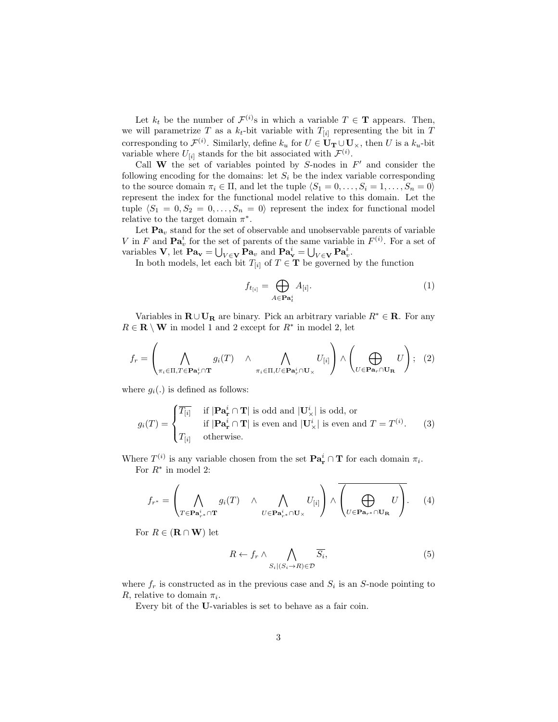Let  $k_t$  be the number of  $\mathcal{F}^{(i)}$ s in which a variable  $T \in \mathbf{T}$  appears. Then, we will parametrize T as a  $k_t$ -bit variable with  $T_{[i]}$  representing the bit in T corresponding to  $\mathcal{F}^{(i)}$ . Similarly, define  $k_u$  for  $U \in \mathbf{U_T} \cup \mathbf{U_\times}$ , then U is a  $k_u$ -bit variable where  $U_{[i]}$  stands for the bit associated with  $\mathcal{F}^{(i)}$ .

Call W the set of variables pointed by  $S$ -nodes in  $F'$  and consider the following encoding for the domains: let  $S_i$  be the index variable corresponding to the source domain  $\pi_i \in \Pi$ , and let the tuple  $\langle S_1 = 0, \ldots, S_i = 1, \ldots, S_n = 0 \rangle$ represent the index for the functional model relative to this domain. Let the tuple  $\langle S_1 = 0, S_2 = 0, \ldots, S_n = 0 \rangle$  represent the index for functional model relative to the target domain  $\pi^*$ .

Let  $\mathbf{Pa}_v$  stand for the set of observable and unobservable parents of variable V in F and  $\mathbf{Pa}_v^i$  for the set of parents of the same variable in  $F^{(i)}$ . For a set of variables **V**, let  $\mathbf{Pa}_{\mathbf{v}} = \bigcup_{V \in \mathbf{V}} \mathbf{Pa}_v$  and  $\mathbf{Pa}_{\mathbf{v}}^i = \bigcup_{V \in \mathbf{V}} \mathbf{Pa}_v^i$ .

In both models, let each bit  $T_{[i]}$  of  $T \in \mathbf{T}$  be governed by the function

$$
f_{t_{[i]}} = \bigoplus_{A \in \mathbf{Pa}_t^i} A_{[i]}.
$$
 (1)

Variables in  $\mathbf{R} \cup \mathbf{U}_{\mathbf{R}}$  are binary. Pick an arbitrary variable  $R^* \in \mathbf{R}$ . For any  $R \in \mathbf{R} \setminus \mathbf{W}$  in model 1 and 2 except for  $R^*$  in model 2, let

$$
f_r = \left(\bigwedge_{\pi_i \in \Pi, T \in \mathbf{Pa}_r^i \cap \mathbf{T}} g_i(T) \land \bigwedge_{\pi_i \in \Pi, U \in \mathbf{Pa}_r^i \cap \mathbf{U}_\times} U_{[i]}\right) \land \left(\bigoplus_{U \in \mathbf{Pa}_r \cap \mathbf{U}_{\mathbf{R}}} U\right); (2)
$$

where  $g_i(.)$  is defined as follows:

$$
g_i(T) = \begin{cases} \overline{T_{[i]}} & \text{if } |\mathbf{Pa}_\mathbf{r}^i \cap \mathbf{T}| \text{ is odd and } |\mathbf{U}_\times^i| \text{ is odd, or} \\ & \text{if } |\mathbf{Pa}_\mathbf{r}^i \cap \mathbf{T}| \text{ is even and } |\mathbf{U}_\times^i| \text{ is even and } T = T^{(i)}. \end{cases}
$$
(3)

Where  $T^{(i)}$  is any variable chosen from the set  $\mathbf{Pa}_r^i \cap \mathbf{T}$  for each domain  $\pi_i$ . For  $R^*$  in model 2:

$$
f_{r^*} = \left(\bigwedge_{T \in \mathbf{Pa}_{r^*}^i \cap \mathbf{T}} g_i(T) \land \bigwedge_{U \in \mathbf{Pa}_{r^*}^i \cap \mathbf{U}_\times} U_{[i]}\right) \land \overline{\left(\bigoplus_{U \in \mathbf{Pa}_{r^*} \cap \mathbf{U}_{\mathbf{R}}} U\right)}.
$$
 (4)

For  $R \in (\mathbf{R} \cap \mathbf{W})$  let

$$
R \leftarrow f_r \land \bigwedge_{S_i \mid (S_i \rightarrow R) \in \mathcal{D}} \overline{S_i},\tag{5}
$$

where  $f_r$  is constructed as in the previous case and  $S_i$  is an S-node pointing to R, relative to domain  $\pi_i$ .

Every bit of the U-variables is set to behave as a fair coin.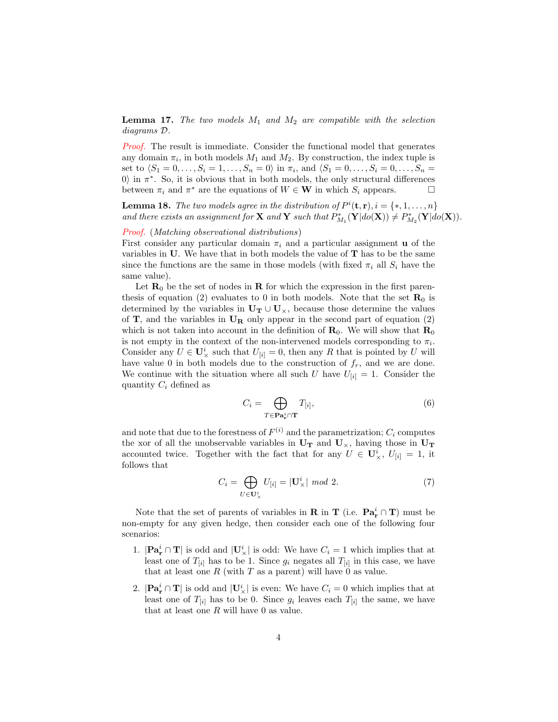**Lemma 17.** The two models  $M_1$  and  $M_2$  are compatible with the selection diagrams D.

**Proof.** The result is immediate. Consider the functional model that generates any domain  $\pi_i$ , in both models  $M_1$  and  $M_2$ . By construction, the index tuple is set to  $\langle S_1 = 0, \ldots, S_i = 1, \ldots, S_n = 0 \rangle$  in  $\pi_i$ , and  $\langle S_1 = 0, \ldots, S_i = 0, \ldots, S_n =$ 0) in  $\pi^*$ . So, it is obvious that in both models, the only structural differences between  $\pi_i$  and  $\pi^*$  are the equations of  $W \in \mathbf{W}$  in which  $S_i$  appears.  $\Box$ 

**Lemma 18.** The two models agree in the distribution of  $P^i(\mathbf{t}, \mathbf{r}), i = \{*, 1, \ldots, n\}$ and there exists an assignment for **X** and **Y** such that  $P_{M_1}^*(\mathbf{Y}|do(\mathbf{X})) \neq P_{M_2}^*(\mathbf{Y}|do(\mathbf{X})).$ 

#### Proof. (Matching observational distributions)

First consider any particular domain  $\pi_i$  and a particular assignment **u** of the variables in U. We have that in both models the value of T has to be the same since the functions are the same in those models (with fixed  $\pi_i$  all  $S_i$  have the same value).

Let  $\mathbf{R}_0$  be the set of nodes in **R** for which the expression in the first parenthesis of equation (2) evaluates to 0 in both models. Note that the set  $\mathbf{R}_0$  is determined by the variables in  $U_T \cup U_x$ , because those determine the values of  $T$ , and the variables in  $U_R$  only appear in the second part of equation (2) which is not taken into account in the definition of  $\mathbf{R}_0$ . We will show that  $\mathbf{R}_0$ is not empty in the context of the non-intervened models corresponding to  $\pi_i$ . Consider any  $U \in U^i_{\times}$  such that  $U_{[i]} = 0$ , then any R that is pointed by U will have value 0 in both models due to the construction of  $f_r$ , and we are done. We continue with the situation where all such U have  $U_{[i]} = 1$ . Consider the quantity  $C_i$  defined as

$$
C_i = \bigoplus_{T \in \mathbf{Pa}_r^i \cap \mathbf{T}} T_{[i]},\tag{6}
$$

and note that due to the forestness of  $F^{(i)}$  and the parametrization;  $C_i$  computes the xor of all the unobservable variables in  $U_T$  and  $U_{\times}$ , having those in  $U_T$ accounted twice. Together with the fact that for any  $U \in U_{\times}^{i}$ ,  $U_{[i]} = 1$ , it follows that

$$
C_i = \bigoplus_{U \in \mathbf{U}_{\times}^i} U_{[i]} = |\mathbf{U}_{\times}^i| \mod 2. \tag{7}
$$

Note that the set of parents of variables in **R** in **T** (i.e.  $\mathbf{Pa}_r^i \cap \mathbf{T}$ ) must be non-empty for any given hedge, then consider each one of the following four scenarios:

- 1.  $|\mathbf{Pa}_r^i \cap \mathbf{T}|$  is odd and  $|\mathbf{U}_\times^i|$  is odd: We have  $C_i = 1$  which implies that at least one of  $T_{[i]}$  has to be 1. Since  $g_i$  negates all  $T_{[i]}$  in this case, we have that at least one R (with T as a parent) will have  $\vec{0}$  as value.
- 2.  $|\mathbf{Pa}_r^i \cap \mathbf{T}|$  is odd and  $|\mathbf{U}_\times^i|$  is even: We have  $C_i = 0$  which implies that at least one of  $T_{[i]}$  has to be 0. Since  $g_i$  leaves each  $T_{[i]}$  the same, we have that at least one  $R$  will have 0 as value.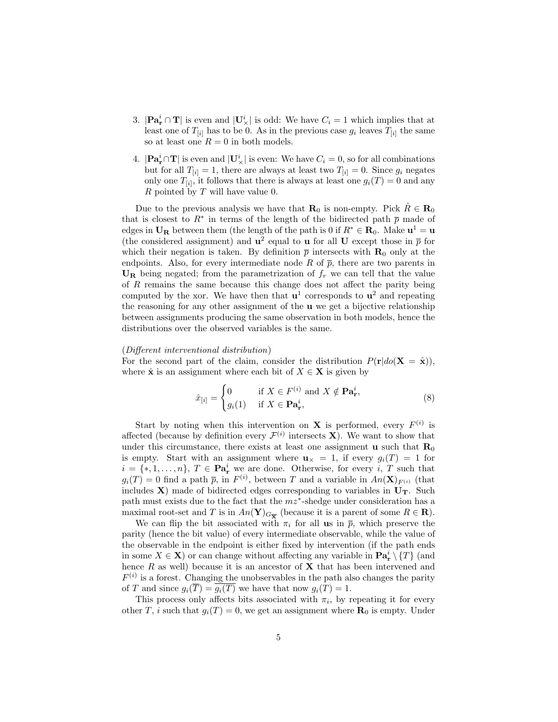- 3.  $|\mathbf{Pa}_r^i \cap \mathbf{T}|$  is even and  $|\mathbf{U}_\times^i|$  is odd: We have  $C_i = 1$  which implies that at least one of  $T_{[i]}$  has to be 0. As in the previous case  $g_i$  leaves  $T_{[i]}$  the same so at least one  $R = 0$  in both models.
- 4.  $|\mathbf{Pa}_\mathbf{r}^i \cap \mathbf{T}|$  is even and  $|\mathbf{U}_\times^i|$  is even: We have  $C_i = 0$ , so for all combinations but for all  $T_{[i]} = 1$ , there are always at least two  $T_{[i]} = 0$ . Since  $g_i$  negates only one  $T_{[i]}$ , it follows that there is always at least one  $g_i(T) = 0$  and any  $R$  pointed by  $T$  will have value 0.

Due to the previous analysis we have that  $\mathbf{R}_0$  is non-empty. Pick  $\hat{R} \in \mathbf{R}_0$ that is closest to  $R^*$  in terms of the length of the bidirected path  $\bar{p}$  made of edges in  $U_R$  between them (the length of the path is 0 if  $R^* \in R_0$ . Make  $u^1 = u$ (the considered assignment) and  $\mathbf{u}^2$  equal to **u** for all **U** except those in  $\bar{p}$  for which their negation is taken. By definition  $\bar{p}$  intersects with  $\mathbf{R}_{0}$  only at the endpoints. Also, for every intermediate node R of  $\bar{p}$ , there are two parents in  $\mathbf{U}_{\mathbf{R}}$  being negated; from the parametrization of  $f_r$  we can tell that the value of  $R$  remains the same because this change does not affect the parity being computed by the xor. We have then that  $\mathbf{u}^1$  corresponds to  $\mathbf{u}^2$  and repeating the reasoning for any other assignment of the u we get a bijective relationship between assignments producing the same observation in both models, hence the distributions over the observed variables is the same.

#### (Different interventional distribution)

For the second part of the claim, consider the distribution  $P(\mathbf{r}|do(\mathbf{X} = \hat{\mathbf{x}}))$ , where  $\hat{\mathbf{x}}$  is an assignment where each bit of  $X \in \mathbf{X}$  is given by

$$
\hat{x}_{[i]} = \begin{cases} 0 & \text{if } X \in F^{(i)} \text{ and } X \notin \mathbf{Pa}_{\mathbf{r}}^i, \\ g_i(1) & \text{if } X \in \mathbf{Pa}_{\mathbf{r}}^i, \end{cases}
$$
(8)

Start by noting when this intervention on **X** is performed, every  $F^{(i)}$  is affected (because by definition every  $\mathcal{F}^{(i)}$  intersects **X**). We want to show that under this circumstance, there exists at least one assignment  $\bf{u}$  such that  $\bf{R}_0$ is empty. Start with an assignment where  $u_x = 1$ , if every  $g_i(T) = 1$  for  $i = \{*, 1, \ldots, n\}, T \in \mathbf{Pa}_r^i$  we are done. Otherwise, for every i, T such that  $g_i(T) = 0$  find a path  $\bar{p}$ , in  $F^{(i)}$ , between T and a variable in  $An(\mathbf{X})_{F^{(i)}}$  (that includes  $X$ ) made of bidirected edges corresponding to variables in  $U_T$ . Such path must exists due to the fact that the  $mz^*$ -shedge under consideration has a maximal root-set and T is in  $An(\mathbf{Y})_{G_{\overline{\mathbf{X}}}}$  (because it is a parent of some  $R \in \mathbf{R}$ ).

We can flip the bit associated with  $\pi_i$  for all us in  $\bar{p}$ , which preserve the parity (hence the bit value) of every intermediate observable, while the value of the observable in the endpoint is either fixed by intervention (if the path ends in some  $X \in \mathbf{X}$ ) or can change without affecting any variable in  $\mathbf{Pa}_{\mathbf{r}}^i \setminus \{T\}$  (and hence  $R$  as well) because it is an ancestor of  $X$  that has been intervened and  $F^{(i)}$  is a forest. Changing the unobservables in the path also changes the parity of T and since  $g_i(\overline{T}) = \overline{g_i(T)}$  we have that now  $g_i(T) = 1$ .

This process only affects bits associated with  $\pi_i$ , by repeating it for every other T, i such that  $g_i(T) = 0$ , we get an assignment where  $\mathbf{R}_0$  is empty. Under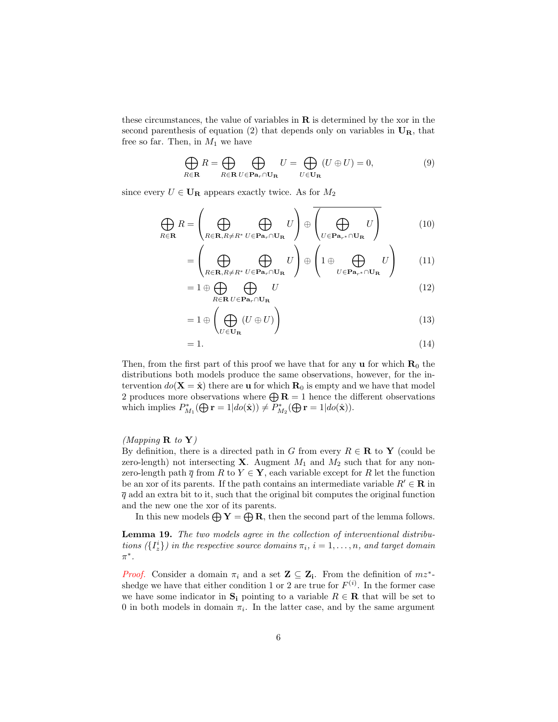these circumstances, the value of variables in  **is determined by the xor in the** second parenthesis of equation (2) that depends only on variables in  $U_R$ , that free so far. Then, in  $M_1$  we have

$$
\bigoplus_{R \in \mathbf{R}} R = \bigoplus_{R \in \mathbf{R}} \bigoplus_{U \in \mathbf{Pa}_r \cap \mathbf{U}_{\mathbf{R}}} U = \bigoplus_{U \in \mathbf{U}_{\mathbf{R}}} (U \oplus U) = 0,\tag{9}
$$

since every  $U \in \mathbf{U}_\mathbf{R}$  appears exactly twice. As for  $M_2$ 

$$
\bigoplus_{R \in \mathbf{R}} R = \left( \bigoplus_{R \in \mathbf{R}, R \neq R^*} \bigoplus_{U \in \mathbf{Pa}_r \cap \mathbf{U}_{\mathbf{R}}} U \right) \oplus \left( \bigoplus_{U \in \mathbf{Pa}_{r^*} \cap \mathbf{U}_{\mathbf{R}}} U \right)
$$
(10)

$$
= \left(\bigoplus_{R \in \mathbf{R}, R \neq R^*} \bigoplus_{U \in \mathbf{Pa}_r \cap \mathbf{U}_{\mathbf{R}}} U\right) \oplus \left(1 \oplus \bigoplus_{U \in \mathbf{Pa}_{r^*} \cap \mathbf{U}_{\mathbf{R}}} U\right) \tag{11}
$$

$$
=1\oplus\bigoplus_{R\in\mathbf{R}}\bigoplus_{U\in\mathbf{Pa}_r\cap\mathbf{U}_{\mathbf{R}}}U\tag{12}
$$

$$
=1\oplus\left(\bigoplus_{U\in\mathbf{U}_{\mathbf{R}}}(U\oplus U)\right) \tag{13}
$$

$$
=1.\t(14)
$$

Then, from the first part of this proof we have that for any  $\bf{u}$  for which  $\bf{R}_0$  the distributions both models produce the same observations, however, for the intervention  $do(X = \hat{x})$  there are **u** for which  $R_0$  is empty and we have that model 2 produces more observations where  $\bigoplus \mathbf{R} = 1$  hence the different observations which implies  $P_{M_1}^*(\bigoplus_{\mathbf{r}})=1|do(\hat{\mathbf{x}})) \neq P_{M_2}^*(\bigoplus_{\mathbf{r}})=1|do(\hat{\mathbf{x}})).$ 

## (Mapping  $\bf{R}$  to  $\bf{Y}$ )

By definition, there is a directed path in G from every  $R \in \mathbf{R}$  to Y (could be zero-length) not intersecting **X**. Augment  $M_1$  and  $M_2$  such that for any nonzero-length path  $\overline{q}$  from R to Y  $\in$  **Y**, each variable except for R let the function be an xor of its parents. If the path contains an intermediate variable  $R' \in \mathbf{R}$  in  $\overline{q}$  add an extra bit to it, such that the original bit computes the original function and the new one the xor of its parents.

In this new models  $\bigoplus Y = \bigoplus R$ , then the second part of the lemma follows.

Lemma 19. The two models agree in the collection of interventional distributions  $(\lbrace I_z^i \rbrace)$  in the respective source domains  $\pi_i$ ,  $i = 1, \ldots, n$ , and target domain  $\pi^*$ .

*Proof.* Consider a domain  $\pi_i$  and a set  $\mathbf{Z} \subseteq \mathbf{Z_i}$ . From the definition of  $mz^*$ shedge we have that either condition 1 or 2 are true for  $F^{(i)}$ . In the former case we have some indicator in  $S_i$  pointing to a variable  $R \in \mathbf{R}$  that will be set to 0 in both models in domain  $\pi_i$ . In the latter case, and by the same argument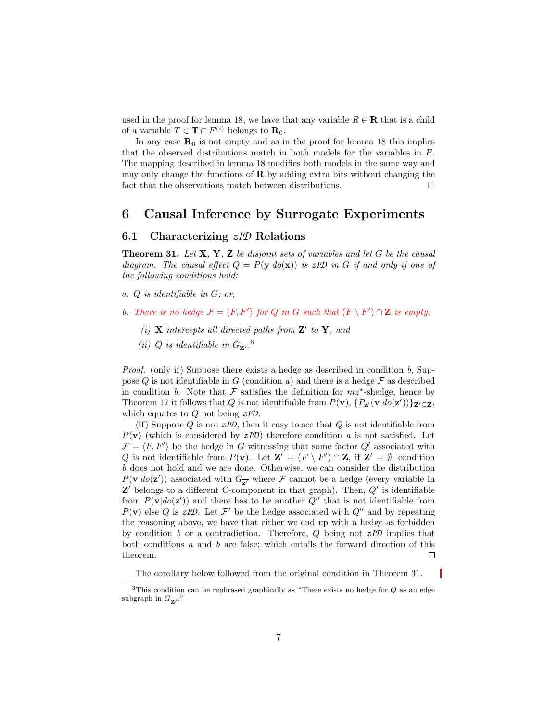used in the proof for lemma 18, we have that any variable  $R \in \mathbf{R}$  that is a child of a variable  $T \in \mathbf{T} \cap F^{(i)}$  belongs to  $\mathbf{R}_0$ .

In any case  $\mathbf{R}_0$  is not empty and as in the proof for lemma 18 this implies that the observed distributions match in both models for the variables in F. The mapping described in lemma 18 modifies both models in the same way and may only change the functions of  $\bf{R}$  by adding extra bits without changing the fact that the observations match between distributions.  $\Box$ 

## 6 Causal Inference by Surrogate Experiments

## 6.1 Characterizing *zID* Relations

**Theorem 31.** Let  $X$ ,  $Y$ ,  $Z$  be disjoint sets of variables and let  $G$  be the causal diagram. The causal effect  $Q = P(y|do(x))$  is  $zI\mathcal{D}$  in G if and only if one of the following conditions hold:

- a. Q is identifiable in G; or,
- b. There is no hedge  $\mathcal{F} = \langle F, F' \rangle$  for Q in G such that  $(F \setminus F') \cap \mathbf{Z}$  is empty.
	- (i)  $\bf{X}$  intercepts all directed paths from  $\bf{Z}'$  to  $\bf{Y}$ , and
	- (ii)  $Q$  is identifiable in  $G_{\overline{Z'}}^{\quad 6}$

*Proof.* (only if) Suppose there exists a hedge as described in condition  $b$ , Suppose Q is not identifiable in G (condition a) and there is a hedge  $\mathcal F$  as described in condition b. Note that F satisfies the definition for  $mz^*$ -shedge, hence by Theorem 17 it follows that Q is not identifiable from  $P(\mathbf{v})$ ,  $\{P_{\mathbf{z}}(\mathbf{v}|do(\mathbf{z}'))\}_{\mathbf{Z}'\subseteq\mathbf{Z}}$ , which equates to Q not being *zID*.

(if) Suppose  $Q$  is not  $zI\mathcal{D}$ , then it easy to see that  $Q$  is not identifiable from  $P(\mathbf{v})$  (which is considered by  $zI\mathcal{D}$ ) therefore condition a is not satisfied. Let  $\mathcal{F} = \langle F, F' \rangle$  be the hedge in G witnessing that some factor Q' associated with Q is not identifiable from  $P(\mathbf{v})$ . Let  $\mathbf{Z}' = (F \setminus F') \cap \mathbf{Z}$ , if  $\mathbf{Z}' = \emptyset$ , condition b does not hold and we are done. Otherwise, we can consider the distribution  $P(\mathbf{v}|do(\mathbf{z}'))$  associated with  $G_{\overline{\mathbf{z}'}}$  where  $\mathcal F$  cannot be a hedge (every variable in  $\mathbf{Z}'$  belongs to a different C-component in that graph). Then,  $Q'$  is identifiable from  $P(\mathbf{v}|do(\mathbf{z}'))$  and there has to be another  $Q''$  that is not identifiable from  $P(\mathbf{v})$  else Q is  $zI\mathcal{D}$ . Let  $\mathcal{F}'$  be the hedge associated with  $Q''$  and by repeating the reasoning above, we have that either we end up with a hedge as forbidden by condition b or a contradiction. Therefore, Q being not *zID* implies that both conditions a and b are false; which entails the forward direction of this theorem.  $\Box$ 

The corollary below followed from the original condition in Theorem 31.

<sup>&</sup>lt;sup>3</sup>This condition can be rephrased graphically as "There exists no hedge for  $Q$  as an edge subgraph in  $G_{\overline{\mathbf{Z'}}}$ ."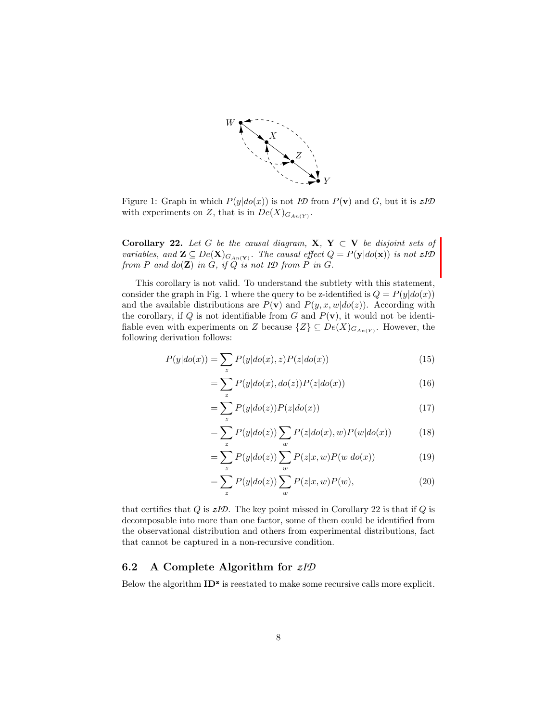

Figure 1: Graph in which  $P(y|do(x))$  is not *ID* from  $P(\mathbf{v})$  and *G*, but it is  $zID$ with experiments on Z, that is in  $De(X)_{G_{An(Y)}}$ .

Corollary 22. Let G be the causal diagram,  $X, Y \subset V$  be disjoint sets of variables, and  $\mathbf{Z} \subseteq De(\mathbf{X})_{G_{An}(\mathbf{Y})}$ . The causal effect  $Q = P(\mathbf{y}|do(\mathbf{x}))$  is not  $zI\mathcal{D}$ from  $P$  and  $do(\mathbf{Z})$  in  $G$ , if  $Q$  is not  $I\mathcal{D}$  from  $P$  in  $G$ .

This corollary is not valid. To understand the subtlety with this statement, consider the graph in Fig. 1 where the query to be z-identified is  $Q = P(y|do(x))$ and the available distributions are  $P(\mathbf{v})$  and  $P(y, x, w|do(z))$ . According with the corollary, if  $Q$  is not identifiable from  $G$  and  $P(\mathbf{v})$ , it would not be identifiable even with experiments on Z because  $\{Z\} \subseteq De(X)_{G_{An(Y)}}$ . However, the following derivation follows:

$$
P(y|do(x)) = \sum_{z} P(y|do(x), z)P(z|do(x))
$$
\n(15)

$$
=\sum_{z} P(y|do(x), do(z))P(z|do(x))\tag{16}
$$

$$
=\sum_{z} P(y|do(z))P(z|do(x))\tag{17}
$$

$$
= \sum_{z} P(y|do(z)) \sum_{w} P(z|do(x), w) P(w|do(x)) \tag{18}
$$

$$
= \sum_{z} P(y|do(z)) \sum_{w} P(z|x, w) P(w|do(x)) \tag{19}
$$

$$
= \sum_{z} P(y|do(z)) \sum_{w} P(z|x, w)P(w), \qquad (20)
$$

that certifies that  $Q$  is  $zI\mathcal{D}$ . The key point missed in Corollary 22 is that if  $Q$  is decomposable into more than one factor, some of them could be identified from the observational distribution and others from experimental distributions, fact that cannot be captured in a non-recursive condition.

## 6.2 A Complete Algorithm for *zID*

Below the algorithm  $ID<sup>z</sup>$  is reestated to make some recursive calls more explicit.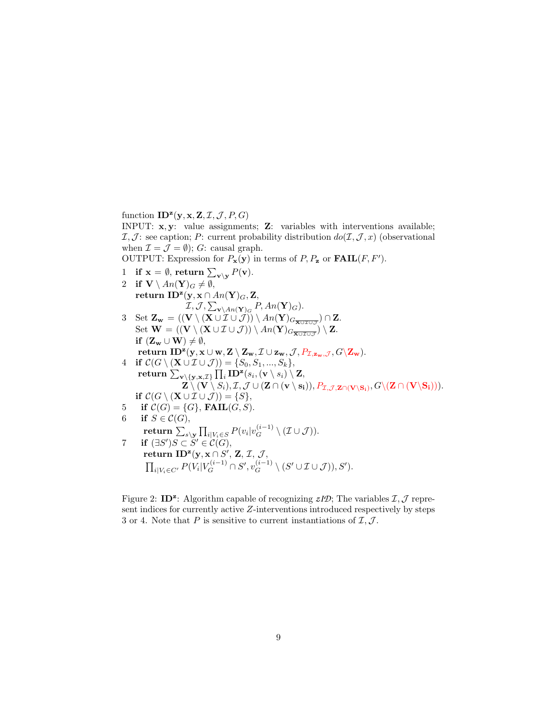function  $\mathbf{ID}^{\mathbf{z}}(\mathbf{y}, \mathbf{x}, \mathbf{Z}, \mathcal{I}, \mathcal{J}, P, G)$ 

INPUT: x, y: value assignments; Z: variables with interventions available;  $I, J$ : see caption; P: current probability distribution  $do(I, J, x)$  (observational when  $\mathcal{I} = \mathcal{J} = \emptyset$ ); G: causal graph.

OUTPUT: Expression for  $P_{\mathbf{x}}(\mathbf{y})$  in terms of  $P, P_{\mathbf{z}}$  or  $\textbf{FAIL}(F, F')$ .

- 1 if  $\mathbf{x} = \emptyset$ , return  $\sum_{\mathbf{v} \setminus \mathbf{y}} P(\mathbf{v})$ .
- 2 if  $\mathbf{V} \setminus An(\mathbf{Y})_G \neq \emptyset$ , return ID<sup>z</sup>(y, x ∩  $An(Y)_G, Z$ ,  $\mathcal{I}, \mathcal{J}, \sum_{\mathbf{v} \setminus An(\mathbf{Y})_G} P, An(\mathbf{Y})_G).$ 3 Set  $\mathbf{Z}_{\mathbf{w}} = ((\mathbf{V} \setminus (\mathbf{X} \cup \mathcal{I} \cup \mathcal{J})) \setminus An(\mathbf{Y})_{G_{\overline{\mathbf{X} \cup \mathcal{I} \cup \mathcal{J}}}}) \cap \mathbf{Z}.$ Set  $\mathbf{W} = ((\mathbf{V} \setminus (\mathbf{X} \cup \mathcal{I} \cup \mathcal{J})) \setminus An(\mathbf{Y})_{G_{\overline{\mathbf{X} \cup \mathcal{I} \cup \mathcal{J}}}}) \setminus \mathbf{Z}.$ if  $(\mathbf{Z}_{\mathbf{w}} \cup \mathbf{W}) \neq \emptyset$ ,  $\textbf{return ID}^{\mathbf{z}}(\mathbf{y}, \mathbf{x} \cup \mathbf{w}, \mathbf{Z} \setminus \mathbf{Z}_\mathbf{w}, \mathcal{I} \cup \mathbf{z}_\mathbf{w}, \mathcal{J}, P_{\mathcal{I}, \mathbf{z}_\mathbf{w}, \mathcal{J}}, G \backslash \mathbf{Z}_\mathbf{w}).$ 4 if  $\mathcal{C}(G \setminus (\mathbf{X} \cup \mathcal{I} \cup \mathcal{J})) = \{S_0, S_1, ..., S_k\},\$  $\textbf{return} \, \sum_{\mathbf{v} \setminus \{\mathbf{y},\mathbf{x}, \mathcal{I}\}} \prod_i \mathbf{ID^z}(s_i, (\mathbf{v} \setminus s_i) \setminus \mathbf{Z},$  $\mathbf{Z} \setminus (\mathbf{V} \setminus S_i), \mathcal{I}, \mathcal{J} \cup (\mathbf{Z} \cap (\mathbf{v} \setminus \mathbf{s_i})), P_{\mathcal{I}, \mathcal{J}, \mathbf{Z} \cap (\mathbf{V} \setminus \mathbf{S_i})}, G \setminus (\mathbf{Z} \cap (\mathbf{V} \setminus \mathbf{S_i}))).$ if  $C(G \setminus (\mathbf{X} \cup \mathcal{I} \cup \mathcal{J})) = \{S\},\$ 5 if  $C(G) = \{G\}$ , FAIL $(G, S)$ . 6 if  $S \in \mathcal{C}(G)$ ,  $\textbf{return} \, \sum_{s \setminus {\bf y}} \prod_{i \vert V_i \in S} P(v_i \vert v_G^{(i-1)} \setminus (\mathcal{I} \cup \mathcal{J})).$ 7 if  $(\exists S')S \subset \check{S}' \in \mathcal{C}(G)$ , return ID<sup>z</sup>(y, x∩S', Z, I, J,  $\prod_{i|V_i \in C'} P(V_i | V_G^{(i-1)} \cap S', v_G^{(i-1)} \setminus (S' \cup \mathcal{I} \cup \mathcal{J})), S').$

Figure 2: ID<sup>z</sup>: Algorithm capable of recognizing  $zI\mathcal{D}$ ; The variables  $\mathcal{I}, \mathcal{J}$  represent indices for currently active Z-interventions introduced respectively by steps 3 or 4. Note that P is sensitive to current instantiations of  $\mathcal{I}, \mathcal{J}$ .